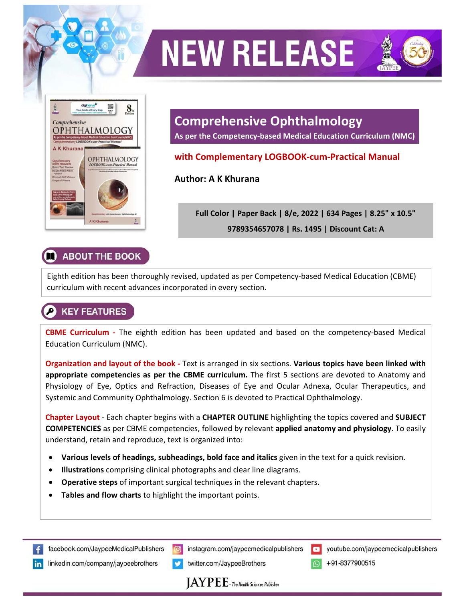

# **NEW RELEASE**



**As per the Competency‐based Medical Education Curriculum (NMC)** 

#### **with Complementary LOGBOOK‐cum‐Practical Manual**

**Author: A K Khurana** 

**Full Color | Paper Back | 8/e, 2022 | 634 Pages | 8.25" x 10.5" 9789354657078 | Rs. 1495 | Discount Cat: A** 

### **ABOUT THE BOOK**

Eighth edition has been thoroughly revised, updated as per Competency‐based Medical Education (CBME) curriculum with recent advances incorporated in every section.

## **KEY FEATURES**

**CBME Curriculum ‐**  The eighth edition has been updated and based on the competency‐based Medical Education Curriculum (NMC).

**Organization and layout of the book ‐** Text is arranged in six sections. **Various topics have been linked with appropriate competencies as per the CBME curriculum.** The first 5 sections are devoted to Anatomy and Physiology of Eye, Optics and Refraction, Diseases of Eye and Ocular Adnexa, Ocular Therapeutics, and Systemic and Community Ophthalmology. Section 6 is devoted to Practical Ophthalmology.

**Chapter Layout** ‐ Each chapter begins with a **CHAPTER OUTLINE** highlighting the topics covered and **SUBJECT COMPETENCIES** as per CBME competencies, followed by relevant **applied anatomy and physiology**. To easily understand, retain and reproduce, text is organized into:

- **Various levels of headings, subheadings, bold face and italics** given in the text for a quick revision.
- **Illustrations** comprising clinical photographs and clear line diagrams.
- **Operative steps** of important surgical techniques in the relevant chapters.
- **Tables and flow charts** to highlight the important points.